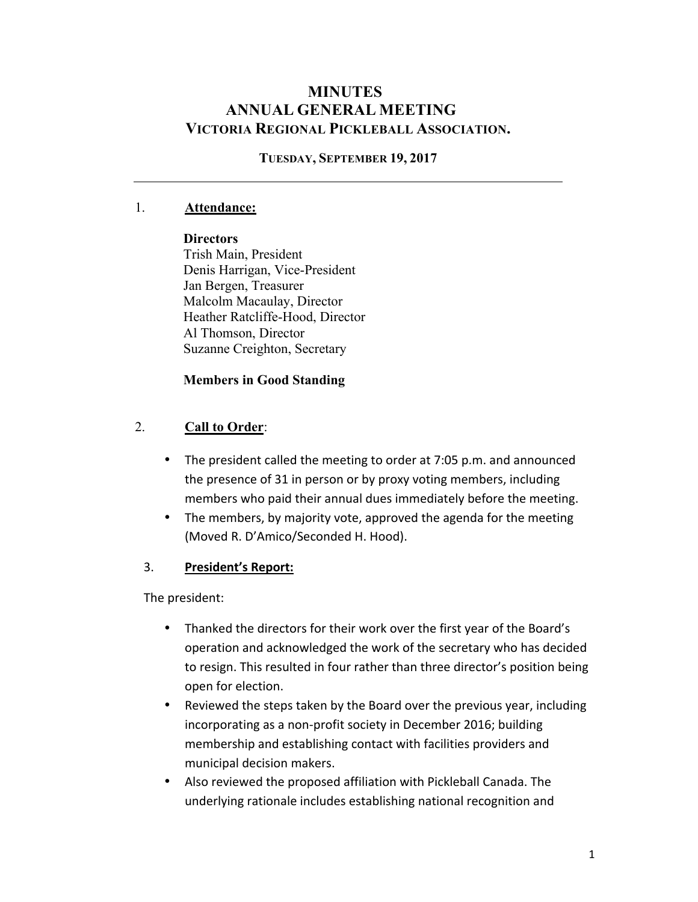# **MINUTES ANNUAL GENERAL MEETING VICTORIA REGIONAL PICKLEBALL ASSOCIATION.**

#### **TUESDAY, SEPTEMBER 19, 2017**

### 1. **Attendance:**

#### **Directors**

Trish Main, President Denis Harrigan, Vice-President Jan Bergen, Treasurer Malcolm Macaulay, Director Heather Ratcliffe-Hood, Director Al Thomson, Director Suzanne Creighton, Secretary

### **Members in Good Standing**

### 2. **Call to Order**:

- The president called the meeting to order at 7:05 p.m. and announced the presence of 31 in person or by proxy voting members, including members who paid their annual dues immediately before the meeting.
- The members, by majority vote, approved the agenda for the meeting (Moved R. D'Amico/Seconded H. Hood).

#### 3. **President's Report:**

The president:

- Thanked the directors for their work over the first year of the Board's operation and acknowledged the work of the secretary who has decided to resign. This resulted in four rather than three director's position being open for election.
- Reviewed the steps taken by the Board over the previous year, including incorporating as a non-profit society in December 2016; building membership and establishing contact with facilities providers and municipal decision makers.
- Also reviewed the proposed affiliation with Pickleball Canada. The underlying rationale includes establishing national recognition and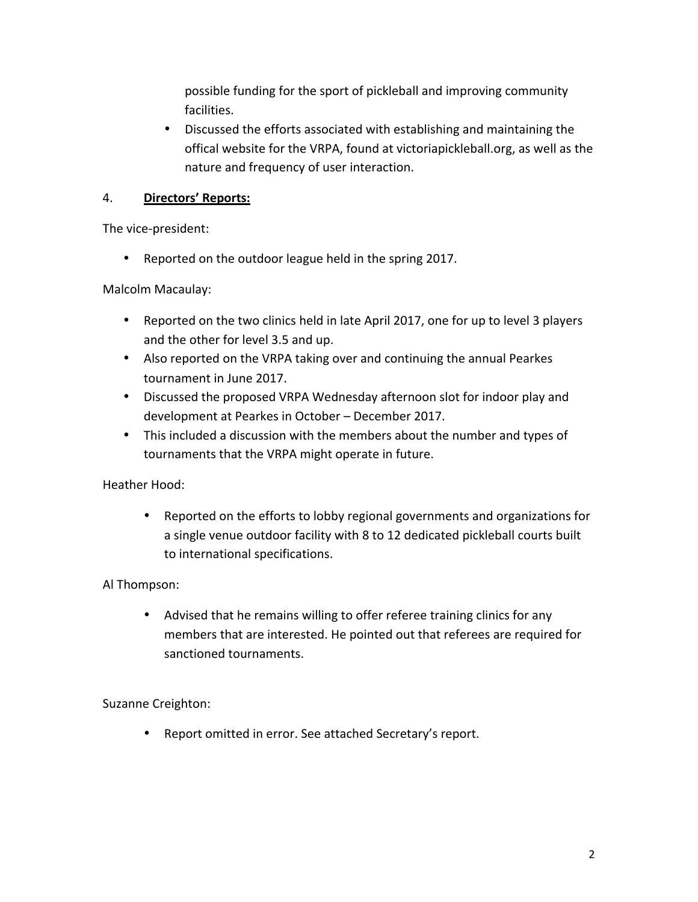possible funding for the sport of pickleball and improving community facilities. 

• Discussed the efforts associated with establishing and maintaining the offical website for the VRPA, found at victoriapickleball.org, as well as the nature and frequency of user interaction.

## 4. **Directors' Reports:**

The vice-president:

• Reported on the outdoor league held in the spring 2017.

Malcolm Macaulay:

- Reported on the two clinics held in late April 2017, one for up to level 3 players and the other for level 3.5 and up.
- Also reported on the VRPA taking over and continuing the annual Pearkes tournament in June 2017.
- Discussed the proposed VRPA Wednesday afternoon slot for indoor play and development at Pearkes in October - December 2017.
- This included a discussion with the members about the number and types of tournaments that the VRPA might operate in future.

Heather Hood:

• Reported on the efforts to lobby regional governments and organizations for a single venue outdoor facility with 8 to 12 dedicated pickleball courts built to international specifications.

### Al Thompson:

• Advised that he remains willing to offer referee training clinics for any members that are interested. He pointed out that referees are required for sanctioned tournaments.

Suzanne Creighton:

• Report omitted in error. See attached Secretary's report.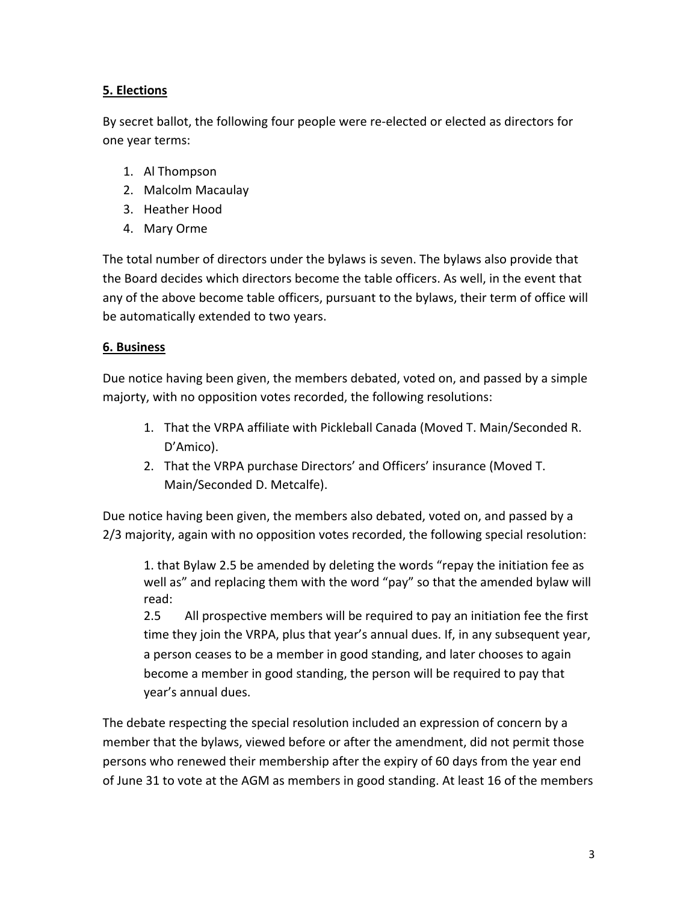## **5. Elections**

By secret ballot, the following four people were re-elected or elected as directors for one vear terms:

- 1. Al Thompson
- 2. Malcolm Macaulay
- 3. Heather Hood
- 4. Mary Orme

The total number of directors under the bylaws is seven. The bylaws also provide that the Board decides which directors become the table officers. As well, in the event that any of the above become table officers, pursuant to the bylaws, their term of office will be automatically extended to two years.

### **6. Business**

Due notice having been given, the members debated, voted on, and passed by a simple majorty, with no opposition votes recorded, the following resolutions:

- 1. That the VRPA affiliate with Pickleball Canada (Moved T. Main/Seconded R. D'Amico).
- 2. That the VRPA purchase Directors' and Officers' insurance (Moved T. Main/Seconded D. Metcalfe).

Due notice having been given, the members also debated, voted on, and passed by a 2/3 majority, again with no opposition votes recorded, the following special resolution:

1. that Bylaw 2.5 be amended by deleting the words "repay the initiation fee as well as" and replacing them with the word "pay" so that the amended bylaw will read:

2.5 All prospective members will be required to pay an initiation fee the first time they join the VRPA, plus that year's annual dues. If, in any subsequent year, a person ceases to be a member in good standing, and later chooses to again become a member in good standing, the person will be required to pay that year's annual dues.

The debate respecting the special resolution included an expression of concern by a member that the bylaws, viewed before or after the amendment, did not permit those persons who renewed their membership after the expiry of 60 days from the year end of June 31 to vote at the AGM as members in good standing. At least 16 of the members